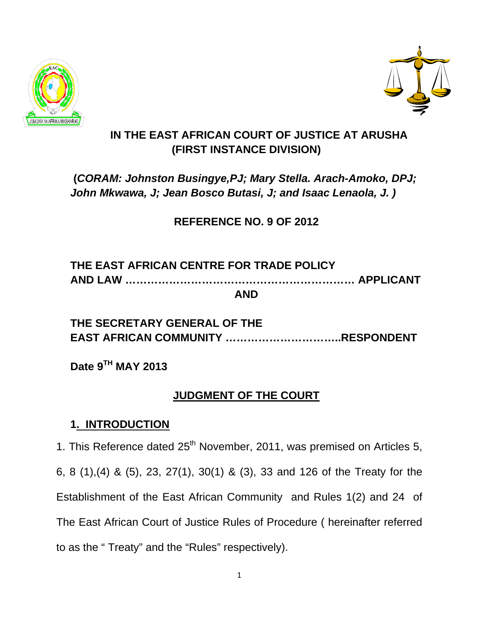



## **IN THE EAST AFRICAN COURT OF JUSTICE AT ARUSHA (FIRST INSTANCE DIVISION)**

## **(***CORAM: Johnston Busingye,PJ; Mary Stella. Arach-Amoko, DPJ; John Mkwawa, J; Jean Bosco Butasi, J; and Isaac Lenaola, J. )*

## **REFERENCE NO. 9 OF 2012**

### **THE EAST AFRICAN CENTRE FOR TRADE POLICY AND LAW ……………………………………………………… APPLICANT AND**

## **THE SECRETARY GENERAL OF THE EAST AFRICAN COMMUNITY …………………………..RESPONDENT**

**Date 9TH MAY 2013** 

## **JUDGMENT OF THE COURT**

### **1. INTRODUCTION**

1. This Reference dated  $25<sup>th</sup>$  November, 2011, was premised on Articles 5, 6, 8 (1),(4) & (5), 23, 27(1), 30(1) & (3), 33 and 126 of the Treaty for the Establishment of the East African Community and Rules 1(2) and 24 of The East African Court of Justice Rules of Procedure ( hereinafter referred to as the " Treaty" and the "Rules" respectively).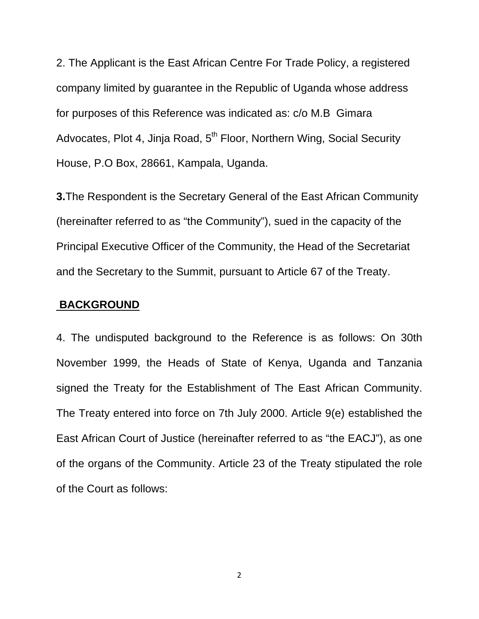2. The Applicant is the East African Centre For Trade Policy, a registered company limited by guarantee in the Republic of Uganda whose address for purposes of this Reference was indicated as: c/o M.B Gimara Advocates, Plot 4, Jinja Road, 5<sup>th</sup> Floor, Northern Wing, Social Security House, P.O Box, 28661, Kampala, Uganda.

**3.**The Respondent is the Secretary General of the East African Community (hereinafter referred to as "the Community"), sued in the capacity of the Principal Executive Officer of the Community, the Head of the Secretariat and the Secretary to the Summit, pursuant to Article 67 of the Treaty.

#### **BACKGROUND**

4. The undisputed background to the Reference is as follows: On 30th November 1999, the Heads of State of Kenya, Uganda and Tanzania signed the Treaty for the Establishment of The East African Community. The Treaty entered into force on 7th July 2000. Article 9(e) established the East African Court of Justice (hereinafter referred to as "the EACJ"), as one of the organs of the Community. Article 23 of the Treaty stipulated the role of the Court as follows: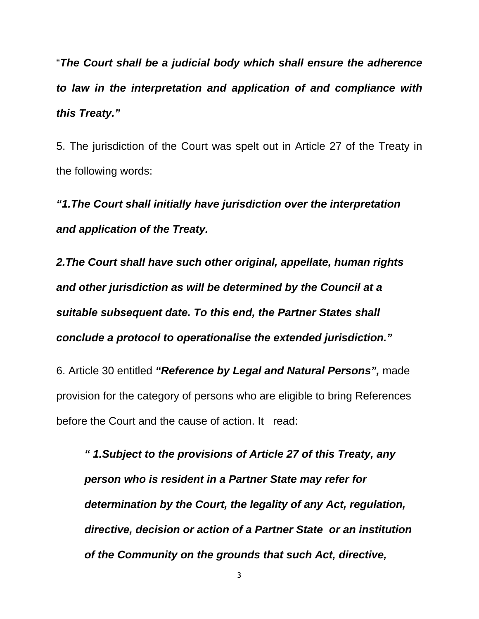"*The Court shall be a judicial body which shall ensure the adherence to law in the interpretation and application of and compliance with this Treaty."*

5. The jurisdiction of the Court was spelt out in Article 27 of the Treaty in the following words:

*"1.The Court shall initially have jurisdiction over the interpretation and application of the Treaty.* 

*2.The Court shall have such other original, appellate, human rights and other jurisdiction as will be determined by the Council at a suitable subsequent date. To this end, the Partner States shall conclude a protocol to operationalise the extended jurisdiction."* 

6. Article 30 entitled *"Reference by Legal and Natural Persons",* made provision for the category of persons who are eligible to bring References before the Court and the cause of action. It read:

*" 1.Subject to the provisions of Article 27 of this Treaty, any person who is resident in a Partner State may refer for determination by the Court, the legality of any Act, regulation, directive, decision or action of a Partner State or an institution of the Community on the grounds that such Act, directive,*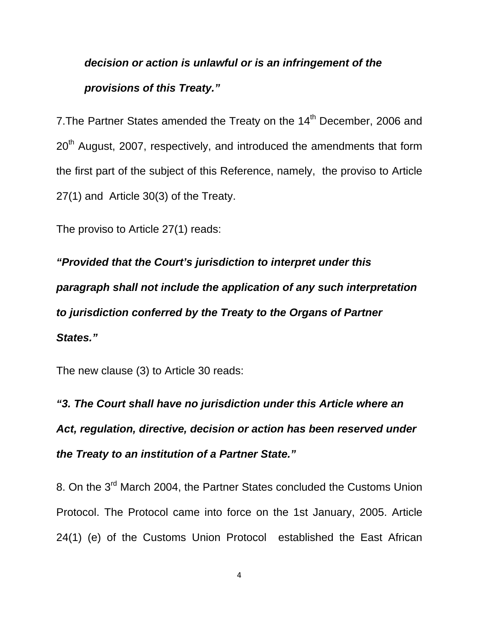# *decision or action is unlawful or is an infringement of the provisions of this Treaty."*

7. The Partner States amended the Treaty on the 14<sup>th</sup> December, 2006 and 20<sup>th</sup> August, 2007, respectively, and introduced the amendments that form the first part of the subject of this Reference, namely, the proviso to Article 27(1) and Article 30(3) of the Treaty.

The proviso to Article 27(1) reads:

*"Provided that the Court's jurisdiction to interpret under this paragraph shall not include the application of any such interpretation to jurisdiction conferred by the Treaty to the Organs of Partner States."*

The new clause (3) to Article 30 reads:

*"3. The Court shall have no jurisdiction under this Article where an Act, regulation, directive, decision or action has been reserved under the Treaty to an institution of a Partner State."* 

8. On the 3<sup>rd</sup> March 2004, the Partner States concluded the Customs Union Protocol. The Protocol came into force on the 1st January, 2005. Article 24(1) (e) of the Customs Union Protocol established the East African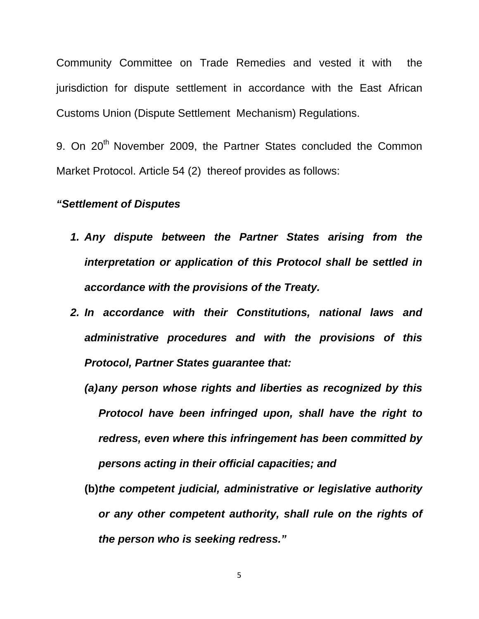Community Committee on Trade Remedies and vested it with the jurisdiction for dispute settlement in accordance with the East African Customs Union (Dispute Settlement Mechanism) Regulations.

9. On 20<sup>th</sup> November 2009, the Partner States concluded the Common Market Protocol. Article 54 (2) thereof provides as follows:

#### *"Settlement of Disputes*

- *1. Any dispute between the Partner States arising from the interpretation or application of this Protocol shall be settled in accordance with the provisions of the Treaty.*
- *2. In accordance with their Constitutions, national laws and administrative procedures and with the provisions of this Protocol, Partner States guarantee that:* 
	- *(a) any person whose rights and liberties as recognized by this Protocol have been infringed upon, shall have the right to redress, even where this infringement has been committed by persons acting in their official capacities; and*
	- **(b)***the competent judicial, administrative or legislative authority or any other competent authority, shall rule on the rights of the person who is seeking redress."*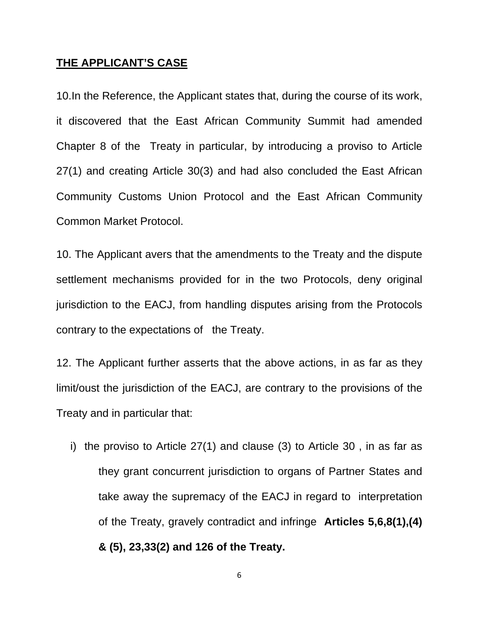#### **THE APPLICANT'S CASE**

10.In the Reference, the Applicant states that, during the course of its work, it discovered that the East African Community Summit had amended Chapter 8 of the Treaty in particular, by introducing a proviso to Article 27(1) and creating Article 30(3) and had also concluded the East African Community Customs Union Protocol and the East African Community Common Market Protocol.

10. The Applicant avers that the amendments to the Treaty and the dispute settlement mechanisms provided for in the two Protocols, deny original jurisdiction to the EACJ, from handling disputes arising from the Protocols contrary to the expectations of the Treaty.

12. The Applicant further asserts that the above actions, in as far as they limit/oust the jurisdiction of the EACJ, are contrary to the provisions of the Treaty and in particular that:

i) the proviso to Article 27(1) and clause (3) to Article 30 , in as far as they grant concurrent jurisdiction to organs of Partner States and take away the supremacy of the EACJ in regard to interpretation of the Treaty, gravely contradict and infringe **Articles 5,6,8(1),(4) & (5), 23,33(2) and 126 of the Treaty.**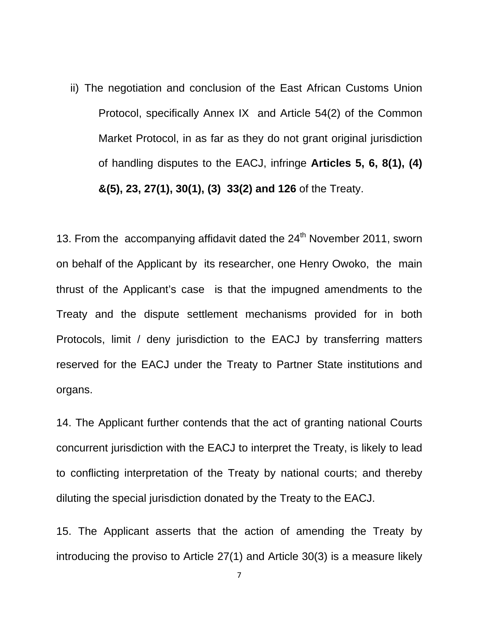ii) The negotiation and conclusion of the East African Customs Union Protocol, specifically Annex IX and Article 54(2) of the Common Market Protocol, in as far as they do not grant original jurisdiction of handling disputes to the EACJ, infringe **Articles 5, 6, 8(1), (4) &(5), 23, 27(1), 30(1), (3) 33(2) and 126** of the Treaty.

13. From the accompanying affidavit dated the 24<sup>th</sup> November 2011, sworn on behalf of the Applicant by its researcher, one Henry Owoko, the main thrust of the Applicant's case is that the impugned amendments to the Treaty and the dispute settlement mechanisms provided for in both Protocols, limit / deny jurisdiction to the EACJ by transferring matters reserved for the EACJ under the Treaty to Partner State institutions and organs.

14. The Applicant further contends that the act of granting national Courts concurrent jurisdiction with the EACJ to interpret the Treaty, is likely to lead to conflicting interpretation of the Treaty by national courts; and thereby diluting the special jurisdiction donated by the Treaty to the EACJ.

15. The Applicant asserts that the action of amending the Treaty by introducing the proviso to Article 27(1) and Article 30(3) is a measure likely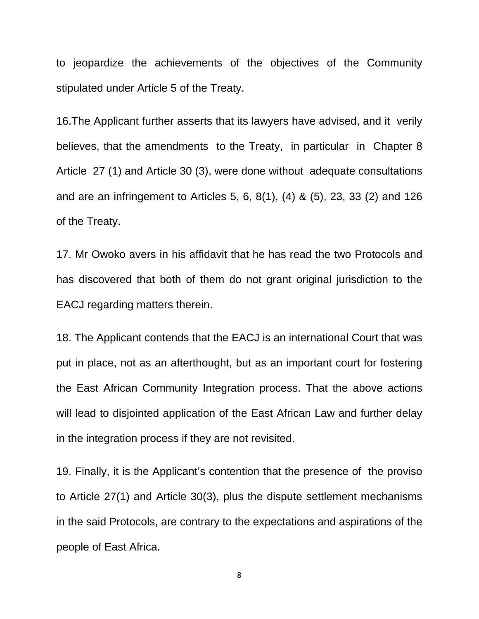to jeopardize the achievements of the objectives of the Community stipulated under Article 5 of the Treaty.

16.The Applicant further asserts that its lawyers have advised, and it verily believes, that the amendments to the Treaty, in particular in Chapter 8 Article 27 (1) and Article 30 (3), were done without adequate consultations and are an infringement to Articles 5, 6, 8(1), (4) & (5), 23, 33 (2) and 126 of the Treaty.

17. Mr Owoko avers in his affidavit that he has read the two Protocols and has discovered that both of them do not grant original jurisdiction to the EACJ regarding matters therein.

18. The Applicant contends that the EACJ is an international Court that was put in place, not as an afterthought, but as an important court for fostering the East African Community Integration process. That the above actions will lead to disjointed application of the East African Law and further delay in the integration process if they are not revisited.

19. Finally, it is the Applicant's contention that the presence of the proviso to Article 27(1) and Article 30(3), plus the dispute settlement mechanisms in the said Protocols, are contrary to the expectations and aspirations of the people of East Africa.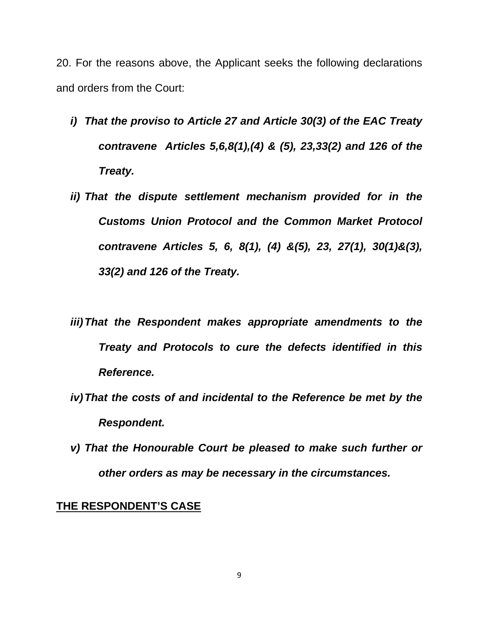20. For the reasons above, the Applicant seeks the following declarations and orders from the Court:

- *i) That the proviso to Article 27 and Article 30(3) of the EAC Treaty contravene Articles 5,6,8(1),(4) & (5), 23,33(2) and 126 of the Treaty.*
- *ii) That the dispute settlement mechanism provided for in the Customs Union Protocol and the Common Market Protocol contravene Articles 5, 6, 8(1), (4) &(5), 23, 27(1), 30(1)&(3), 33(2) and 126 of the Treaty.*
- *iii) That the Respondent makes appropriate amendments to the Treaty and Protocols to cure the defects identified in this Reference.*
- *iv) That the costs of and incidental to the Reference be met by the Respondent.*
- *v) That the Honourable Court be pleased to make such further or other orders as may be necessary in the circumstances.*

#### **THE RESPONDENT'S CASE**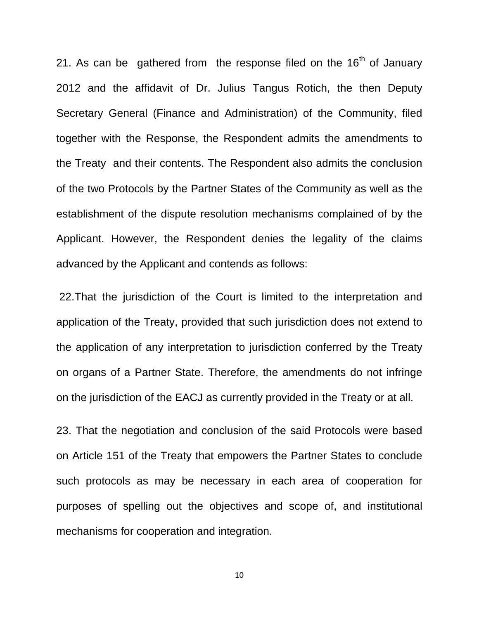21. As can be gathered from the response filed on the  $16<sup>th</sup>$  of January 2012 and the affidavit of Dr. Julius Tangus Rotich, the then Deputy Secretary General (Finance and Administration) of the Community, filed together with the Response, the Respondent admits the amendments to the Treaty and their contents. The Respondent also admits the conclusion of the two Protocols by the Partner States of the Community as well as the establishment of the dispute resolution mechanisms complained of by the Applicant. However, the Respondent denies the legality of the claims advanced by the Applicant and contends as follows:

 22.That the jurisdiction of the Court is limited to the interpretation and application of the Treaty, provided that such jurisdiction does not extend to the application of any interpretation to jurisdiction conferred by the Treaty on organs of a Partner State. Therefore, the amendments do not infringe on the jurisdiction of the EACJ as currently provided in the Treaty or at all.

23. That the negotiation and conclusion of the said Protocols were based on Article 151 of the Treaty that empowers the Partner States to conclude such protocols as may be necessary in each area of cooperation for purposes of spelling out the objectives and scope of, and institutional mechanisms for cooperation and integration.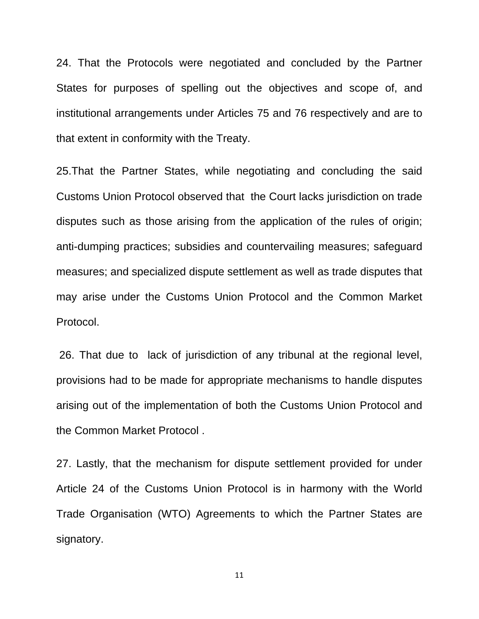24. That the Protocols were negotiated and concluded by the Partner States for purposes of spelling out the objectives and scope of, and institutional arrangements under Articles 75 and 76 respectively and are to that extent in conformity with the Treaty.

25.That the Partner States, while negotiating and concluding the said Customs Union Protocol observed that the Court lacks jurisdiction on trade disputes such as those arising from the application of the rules of origin; anti-dumping practices; subsidies and countervailing measures; safeguard measures; and specialized dispute settlement as well as trade disputes that may arise under the Customs Union Protocol and the Common Market Protocol.

 26. That due to lack of jurisdiction of any tribunal at the regional level, provisions had to be made for appropriate mechanisms to handle disputes arising out of the implementation of both the Customs Union Protocol and the Common Market Protocol .

27. Lastly, that the mechanism for dispute settlement provided for under Article 24 of the Customs Union Protocol is in harmony with the World Trade Organisation (WTO) Agreements to which the Partner States are signatory.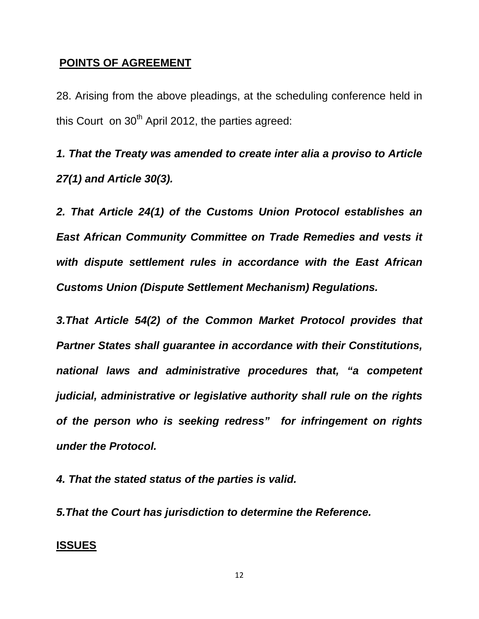#### **POINTS OF AGREEMENT**

28. Arising from the above pleadings, at the scheduling conference held in this Court on  $30<sup>th</sup>$  April 2012, the parties agreed:

*1. That the Treaty was amended to create inter alia a proviso to Article 27(1) and Article 30(3).* 

*2. That Article 24(1) of the Customs Union Protocol establishes an East African Community Committee on Trade Remedies and vests it with dispute settlement rules in accordance with the East African Customs Union (Dispute Settlement Mechanism) Regulations.* 

*3.That Article 54(2) of the Common Market Protocol provides that Partner States shall guarantee in accordance with their Constitutions, national laws and administrative procedures that, "a competent judicial, administrative or legislative authority shall rule on the rights of the person who is seeking redress" for infringement on rights under the Protocol.* 

*4. That the stated status of the parties is valid.* 

*5.That the Court has jurisdiction to determine the Reference.* 

#### **ISSUES**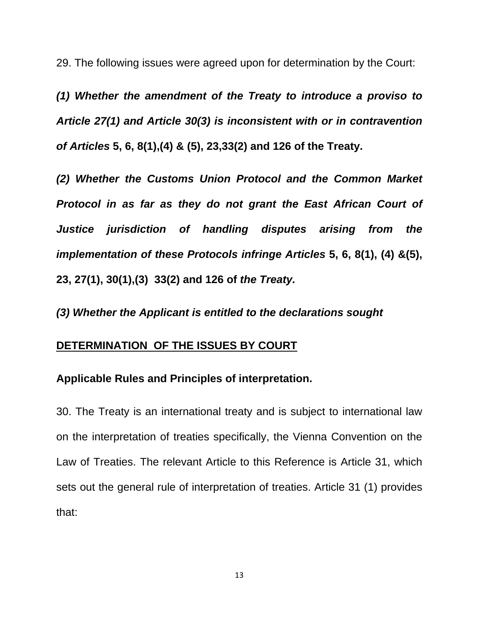29. The following issues were agreed upon for determination by the Court:

*(1) Whether the amendment of the Treaty to introduce a proviso to Article 27(1) and Article 30(3) is inconsistent with or in contravention of Articles* **5, 6, 8(1),(4) & (5), 23,33(2) and 126 of the Treaty.** 

*(2) Whether the Customs Union Protocol and the Common Market Protocol in as far as they do not grant the East African Court of Justice jurisdiction of handling disputes arising from the implementation of these Protocols infringe Articles* **5, 6, 8(1), (4) &(5), 23, 27(1), 30(1),(3) 33(2) and 126 of** *the Treaty.* 

*(3) Whether the Applicant is entitled to the declarations sought* 

#### **DETERMINATION OF THE ISSUES BY COURT**

#### **Applicable Rules and Principles of interpretation.**

30. The Treaty is an international treaty and is subject to international law on the interpretation of treaties specifically, the Vienna Convention on the Law of Treaties. The relevant Article to this Reference is Article 31, which sets out the general rule of interpretation of treaties. Article 31 (1) provides that: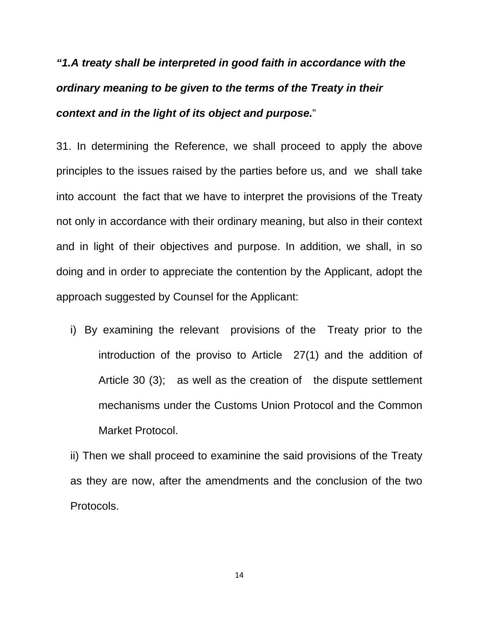# *"1.A treaty shall be interpreted in good faith in accordance with the ordinary meaning to be given to the terms of the Treaty in their context and in the light of its object and purpose.*"

31. In determining the Reference, we shall proceed to apply the above principles to the issues raised by the parties before us, and we shall take into account the fact that we have to interpret the provisions of the Treaty not only in accordance with their ordinary meaning, but also in their context and in light of their objectives and purpose. In addition, we shall, in so doing and in order to appreciate the contention by the Applicant, adopt the approach suggested by Counsel for the Applicant:

i) By examining the relevant provisions of the Treaty prior to the introduction of the proviso to Article 27(1) and the addition of Article 30 (3); as well as the creation of the dispute settlement mechanisms under the Customs Union Protocol and the Common Market Protocol.

ii) Then we shall proceed to examinine the said provisions of the Treaty as they are now, after the amendments and the conclusion of the two Protocols.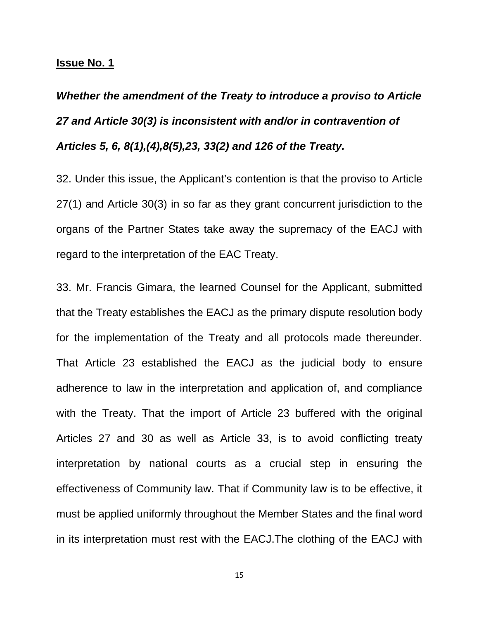#### **Issue No. 1**

# *Whether the amendment of the Treaty to introduce a proviso to Article 27 and Article 30(3) is inconsistent with and/or in contravention of Articles 5, 6, 8(1),(4),8(5),23, 33(2) and 126 of the Treaty.*

32. Under this issue, the Applicant's contention is that the proviso to Article 27(1) and Article 30(3) in so far as they grant concurrent jurisdiction to the organs of the Partner States take away the supremacy of the EACJ with regard to the interpretation of the EAC Treaty.

33. Mr. Francis Gimara, the learned Counsel for the Applicant, submitted that the Treaty establishes the EACJ as the primary dispute resolution body for the implementation of the Treaty and all protocols made thereunder. That Article 23 established the EACJ as the judicial body to ensure adherence to law in the interpretation and application of, and compliance with the Treaty. That the import of Article 23 buffered with the original Articles 27 and 30 as well as Article 33, is to avoid conflicting treaty interpretation by national courts as a crucial step in ensuring the effectiveness of Community law. That if Community law is to be effective, it must be applied uniformly throughout the Member States and the final word in its interpretation must rest with the EACJ.The clothing of the EACJ with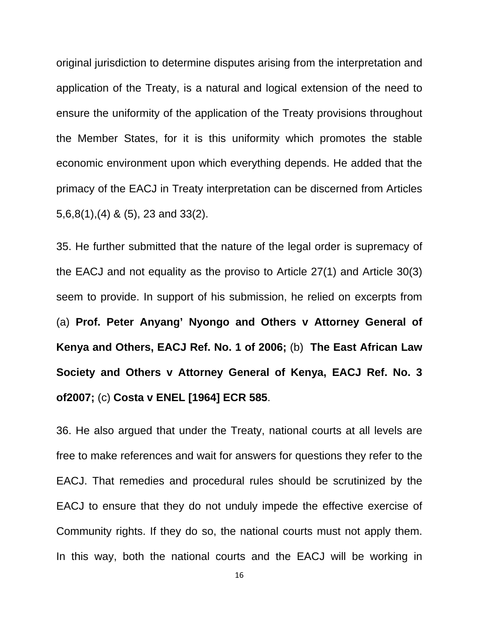original jurisdiction to determine disputes arising from the interpretation and application of the Treaty, is a natural and logical extension of the need to ensure the uniformity of the application of the Treaty provisions throughout the Member States, for it is this uniformity which promotes the stable economic environment upon which everything depends. He added that the primacy of the EACJ in Treaty interpretation can be discerned from Articles 5,6,8(1),(4) & (5), 23 and 33(2).

35. He further submitted that the nature of the legal order is supremacy of the EACJ and not equality as the proviso to Article 27(1) and Article 30(3) seem to provide. In support of his submission, he relied on excerpts from (a) **Prof. Peter Anyang' Nyongo and Others v Attorney General of Kenya and Others, EACJ Ref. No. 1 of 2006;** (b) **The East African Law Society and Others v Attorney General of Kenya, EACJ Ref. No. 3 of2007;** (c) **Costa v ENEL [1964] ECR 585**.

36. He also argued that under the Treaty, national courts at all levels are free to make references and wait for answers for questions they refer to the EACJ. That remedies and procedural rules should be scrutinized by the EACJ to ensure that they do not unduly impede the effective exercise of Community rights. If they do so, the national courts must not apply them. In this way, both the national courts and the EACJ will be working in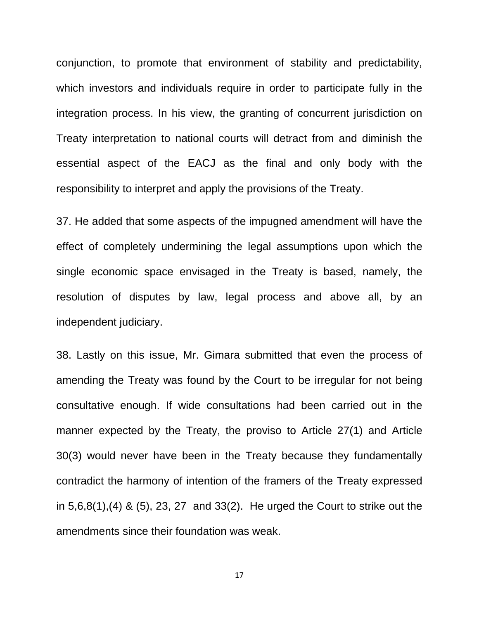conjunction, to promote that environment of stability and predictability, which investors and individuals require in order to participate fully in the integration process. In his view, the granting of concurrent jurisdiction on Treaty interpretation to national courts will detract from and diminish the essential aspect of the EACJ as the final and only body with the responsibility to interpret and apply the provisions of the Treaty.

37. He added that some aspects of the impugned amendment will have the effect of completely undermining the legal assumptions upon which the single economic space envisaged in the Treaty is based, namely, the resolution of disputes by law, legal process and above all, by an independent judiciary.

38. Lastly on this issue, Mr. Gimara submitted that even the process of amending the Treaty was found by the Court to be irregular for not being consultative enough. If wide consultations had been carried out in the manner expected by the Treaty, the proviso to Article 27(1) and Article 30(3) would never have been in the Treaty because they fundamentally contradict the harmony of intention of the framers of the Treaty expressed in 5,6,8(1),(4) & (5), 23, 27 and 33(2). He urged the Court to strike out the amendments since their foundation was weak.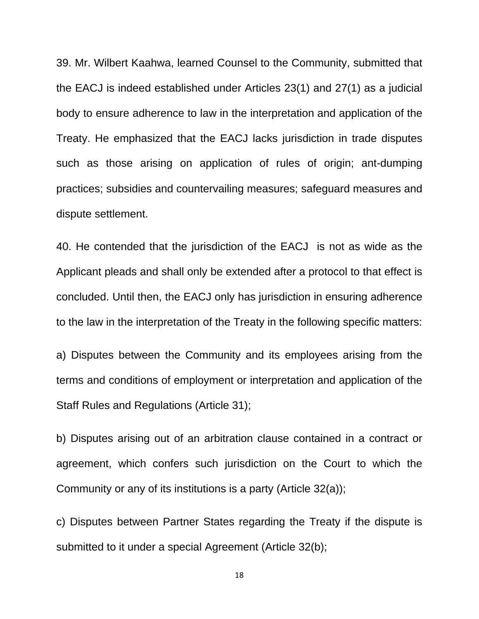39. Mr. Wilbert Kaahwa, learned Counsel to the Community, submitted that the EACJ is indeed established under Articles 23(1) and 27(1) as a judicial body to ensure adherence to law in the interpretation and application of the Treaty. He emphasized that the EACJ lacks jurisdiction in trade disputes such as those arising on application of rules of origin; ant-dumping practices; subsidies and countervailing measures; safeguard measures and dispute settlement.

40. He contended that the jurisdiction of the EACJ is not as wide as the Applicant pleads and shall only be extended after a protocol to that effect is concluded. Until then, the EACJ only has jurisdiction in ensuring adherence to the law in the interpretation of the Treaty in the following specific matters:

a) Disputes between the Community and its employees arising from the terms and conditions of employment or interpretation and application of the Staff Rules and Regulations (Article 31);

b) Disputes arising out of an arbitration clause contained in a contract or agreement, which confers such jurisdiction on the Court to which the Community or any of its institutions is a party (Article 32(a));

c) Disputes between Partner States regarding the Treaty if the dispute is submitted to it under a special Agreement (Article 32(b);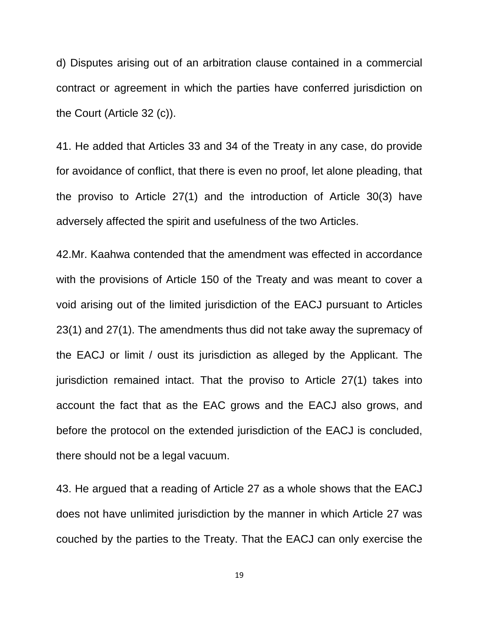d) Disputes arising out of an arbitration clause contained in a commercial contract or agreement in which the parties have conferred jurisdiction on the Court (Article 32 (c)).

41. He added that Articles 33 and 34 of the Treaty in any case, do provide for avoidance of conflict, that there is even no proof, let alone pleading, that the proviso to Article 27(1) and the introduction of Article 30(3) have adversely affected the spirit and usefulness of the two Articles.

42.Mr. Kaahwa contended that the amendment was effected in accordance with the provisions of Article 150 of the Treaty and was meant to cover a void arising out of the limited jurisdiction of the EACJ pursuant to Articles 23(1) and 27(1). The amendments thus did not take away the supremacy of the EACJ or limit / oust its jurisdiction as alleged by the Applicant. The jurisdiction remained intact. That the proviso to Article 27(1) takes into account the fact that as the EAC grows and the EACJ also grows, and before the protocol on the extended jurisdiction of the EACJ is concluded, there should not be a legal vacuum.

43. He argued that a reading of Article 27 as a whole shows that the EACJ does not have unlimited jurisdiction by the manner in which Article 27 was couched by the parties to the Treaty. That the EACJ can only exercise the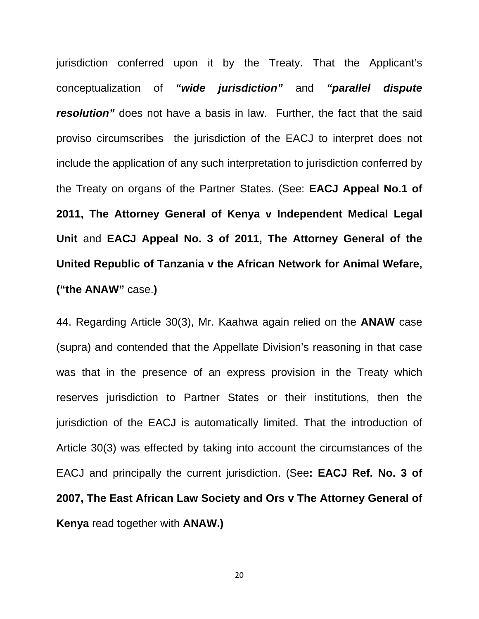jurisdiction conferred upon it by the Treaty. That the Applicant's conceptualization of *"wide jurisdiction"* and *"parallel dispute resolution"* does not have a basis in law. Further, the fact that the said proviso circumscribes the jurisdiction of the EACJ to interpret does not include the application of any such interpretation to jurisdiction conferred by the Treaty on organs of the Partner States. (See: **EACJ Appeal No.1 of 2011, The Attorney General of Kenya v Independent Medical Legal Unit** and **EACJ Appeal No. 3 of 2011, The Attorney General of the United Republic of Tanzania v the African Network for Animal Wefare, ("the ANAW"** case.**)** 

44. Regarding Article 30(3), Mr. Kaahwa again relied on the **ANAW** case (supra) and contended that the Appellate Division's reasoning in that case was that in the presence of an express provision in the Treaty which reserves jurisdiction to Partner States or their institutions, then the jurisdiction of the EACJ is automatically limited. That the introduction of Article 30(3) was effected by taking into account the circumstances of the EACJ and principally the current jurisdiction. (See**: EACJ Ref. No. 3 of 2007, The East African Law Society and Ors v The Attorney General of Kenya** read together with **ANAW.)**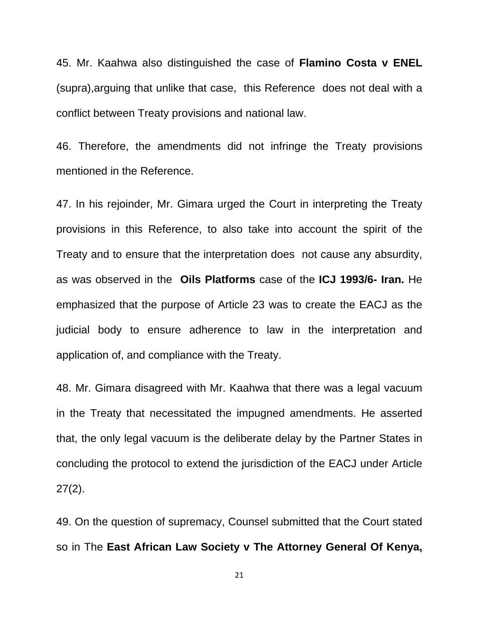45. Mr. Kaahwa also distinguished the case of **Flamino Costa v ENEL** (supra),arguing that unlike that case, this Reference does not deal with a conflict between Treaty provisions and national law.

46. Therefore, the amendments did not infringe the Treaty provisions mentioned in the Reference.

47. In his rejoinder, Mr. Gimara urged the Court in interpreting the Treaty provisions in this Reference, to also take into account the spirit of the Treaty and to ensure that the interpretation does not cause any absurdity, as was observed in the **Oils Platforms** case of the **ICJ 1993/6- Iran.** He emphasized that the purpose of Article 23 was to create the EACJ as the judicial body to ensure adherence to law in the interpretation and application of, and compliance with the Treaty.

48. Mr. Gimara disagreed with Mr. Kaahwa that there was a legal vacuum in the Treaty that necessitated the impugned amendments. He asserted that, the only legal vacuum is the deliberate delay by the Partner States in concluding the protocol to extend the jurisdiction of the EACJ under Article 27(2).

49. On the question of supremacy, Counsel submitted that the Court stated so in The **East African Law Society v The Attorney General Of Kenya,**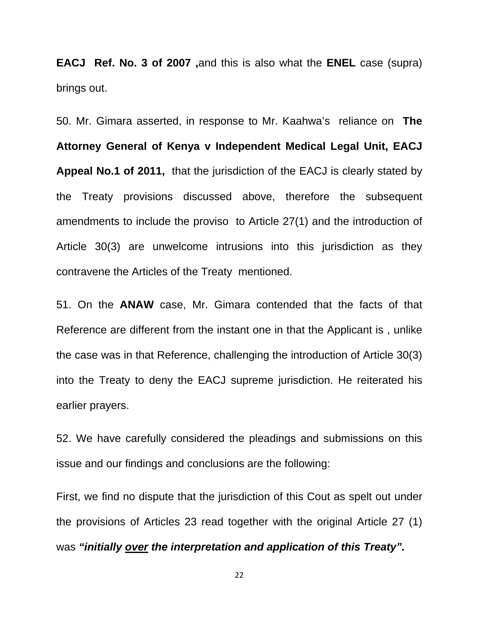**EACJ Ref. No. 3 of 2007 ,**and this is also what the **ENEL** case (supra) brings out.

50. Mr. Gimara asserted, in response to Mr. Kaahwa's reliance on **The Attorney General of Kenya v Independent Medical Legal Unit, EACJ Appeal No.1 of 2011,** that the jurisdiction of the EACJ is clearly stated by the Treaty provisions discussed above, therefore the subsequent amendments to include the proviso to Article 27(1) and the introduction of Article 30(3) are unwelcome intrusions into this jurisdiction as they contravene the Articles of the Treaty mentioned.

51. On the **ANAW** case, Mr. Gimara contended that the facts of that Reference are different from the instant one in that the Applicant is , unlike the case was in that Reference, challenging the introduction of Article 30(3) into the Treaty to deny the EACJ supreme jurisdiction. He reiterated his earlier prayers.

52. We have carefully considered the pleadings and submissions on this issue and our findings and conclusions are the following:

First, we find no dispute that the jurisdiction of this Cout as spelt out under the provisions of Articles 23 read together with the original Article 27 (1) was *"initially over the interpretation and application of this Treaty".*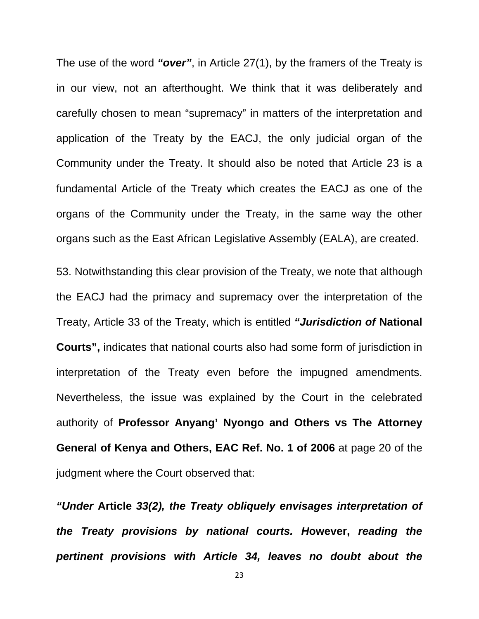The use of the word *"over"*, in Article 27(1), by the framers of the Treaty is in our view, not an afterthought. We think that it was deliberately and carefully chosen to mean "supremacy" in matters of the interpretation and application of the Treaty by the EACJ, the only judicial organ of the Community under the Treaty. It should also be noted that Article 23 is a fundamental Article of the Treaty which creates the EACJ as one of the organs of the Community under the Treaty, in the same way the other organs such as the East African Legislative Assembly (EALA), are created.

53. Notwithstanding this clear provision of the Treaty, we note that although the EACJ had the primacy and supremacy over the interpretation of the Treaty, Article 33 of the Treaty, which is entitled *"Jurisdiction of* **National Courts",** indicates that national courts also had some form of jurisdiction in interpretation of the Treaty even before the impugned amendments. Nevertheless, the issue was explained by the Court in the celebrated authority of **Professor Anyang' Nyongo and Others vs The Attorney General of Kenya and Others, EAC Ref. No. 1 of 2006** at page 20 of the judgment where the Court observed that:

*"Under* **Article** *33(2), the Treaty obliquely envisages interpretation of the Treaty provisions by national courts. H***owever,** *reading the pertinent provisions with Article 34, leaves no doubt about the*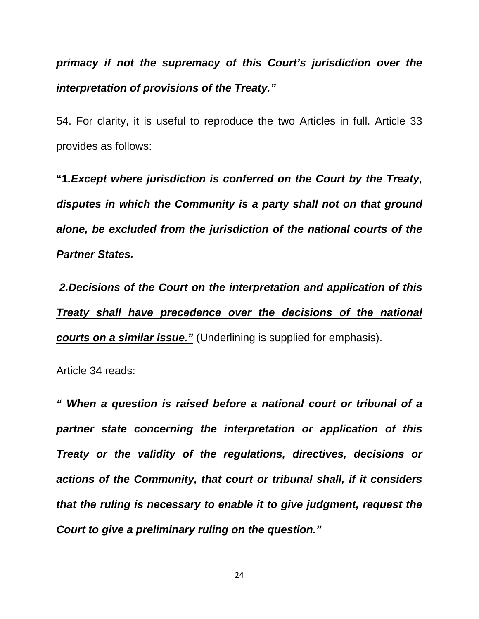*primacy if not the supremacy of this Court's jurisdiction over the interpretation of provisions of the Treaty."* 

54. For clarity, it is useful to reproduce the two Articles in full. Article 33 provides as follows:

**"1***.Except where jurisdiction is conferred on the Court by the Treaty, disputes in which the Community is a party shall not on that ground alone, be excluded from the jurisdiction of the national courts of the Partner States.* 

*2.Decisions of the Court on the interpretation and application of this Treaty shall have precedence over the decisions of the national courts on a similar issue."* (Underlining is supplied for emphasis).

Article 34 reads:

*" When a question is raised before a national court or tribunal of a partner state concerning the interpretation or application of this Treaty or the validity of the regulations, directives, decisions or actions of the Community, that court or tribunal shall, if it considers that the ruling is necessary to enable it to give judgment, request the Court to give a preliminary ruling on the question."*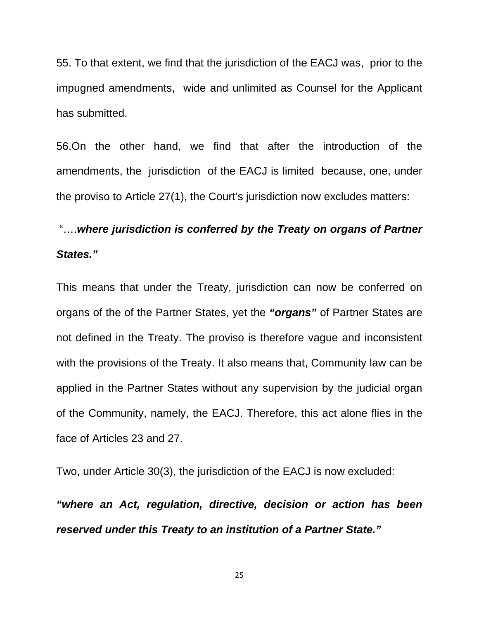55. To that extent, we find that the jurisdiction of the EACJ was, prior to the impugned amendments, wide and unlimited as Counsel for the Applicant has submitted.

56.On the other hand, we find that after the introduction of the amendments, the jurisdiction of the EACJ is limited because, one, under the proviso to Article 27(1), the Court's jurisdiction now excludes matters:

## "….*where jurisdiction is conferred by the Treaty on organs of Partner States."*

This means that under the Treaty, jurisdiction can now be conferred on organs of the of the Partner States, yet the *"organs"* of Partner States are not defined in the Treaty. The proviso is therefore vague and inconsistent with the provisions of the Treaty. It also means that, Community law can be applied in the Partner States without any supervision by the judicial organ of the Community, namely, the EACJ. Therefore, this act alone flies in the face of Articles 23 and 27.

Two, under Article 30(3), the jurisdiction of the EACJ is now excluded:

*"where an Act, regulation, directive, decision or action has been reserved under this Treaty to an institution of a Partner State."*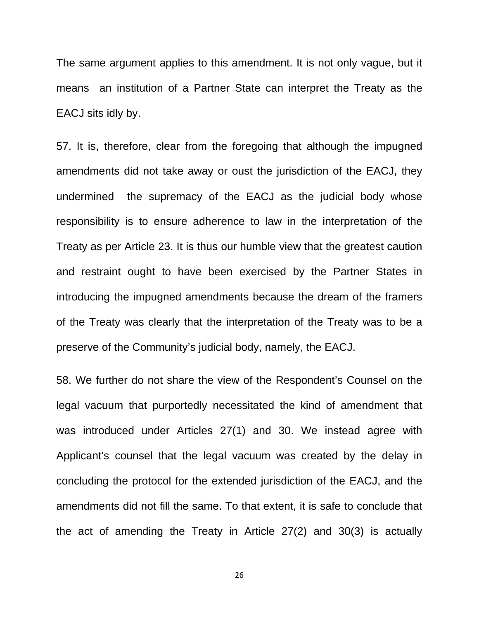The same argument applies to this amendment. It is not only vague, but it means an institution of a Partner State can interpret the Treaty as the EACJ sits idly by.

57. It is, therefore, clear from the foregoing that although the impugned amendments did not take away or oust the jurisdiction of the EACJ, they undermined the supremacy of the EACJ as the judicial body whose responsibility is to ensure adherence to law in the interpretation of the Treaty as per Article 23. It is thus our humble view that the greatest caution and restraint ought to have been exercised by the Partner States in introducing the impugned amendments because the dream of the framers of the Treaty was clearly that the interpretation of the Treaty was to be a preserve of the Community's judicial body, namely, the EACJ.

58. We further do not share the view of the Respondent's Counsel on the legal vacuum that purportedly necessitated the kind of amendment that was introduced under Articles 27(1) and 30. We instead agree with Applicant's counsel that the legal vacuum was created by the delay in concluding the protocol for the extended jurisdiction of the EACJ, and the amendments did not fill the same. To that extent, it is safe to conclude that the act of amending the Treaty in Article 27(2) and 30(3) is actually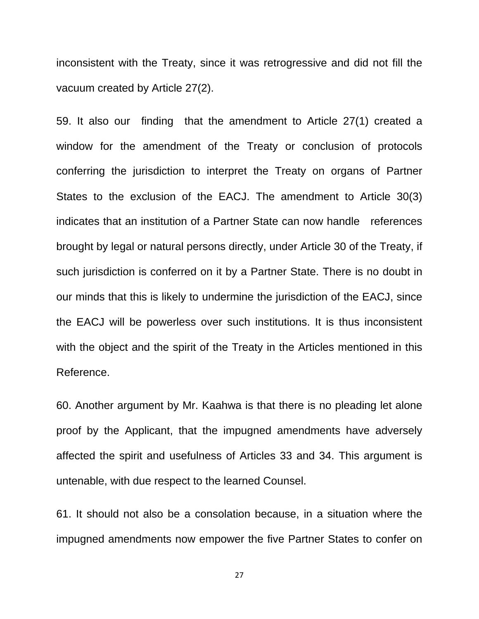inconsistent with the Treaty, since it was retrogressive and did not fill the vacuum created by Article 27(2).

59. It also our finding that the amendment to Article 27(1) created a window for the amendment of the Treaty or conclusion of protocols conferring the jurisdiction to interpret the Treaty on organs of Partner States to the exclusion of the EACJ. The amendment to Article 30(3) indicates that an institution of a Partner State can now handle references brought by legal or natural persons directly, under Article 30 of the Treaty, if such jurisdiction is conferred on it by a Partner State. There is no doubt in our minds that this is likely to undermine the jurisdiction of the EACJ, since the EACJ will be powerless over such institutions. It is thus inconsistent with the object and the spirit of the Treaty in the Articles mentioned in this Reference.

60. Another argument by Mr. Kaahwa is that there is no pleading let alone proof by the Applicant, that the impugned amendments have adversely affected the spirit and usefulness of Articles 33 and 34. This argument is untenable, with due respect to the learned Counsel.

61. It should not also be a consolation because, in a situation where the impugned amendments now empower the five Partner States to confer on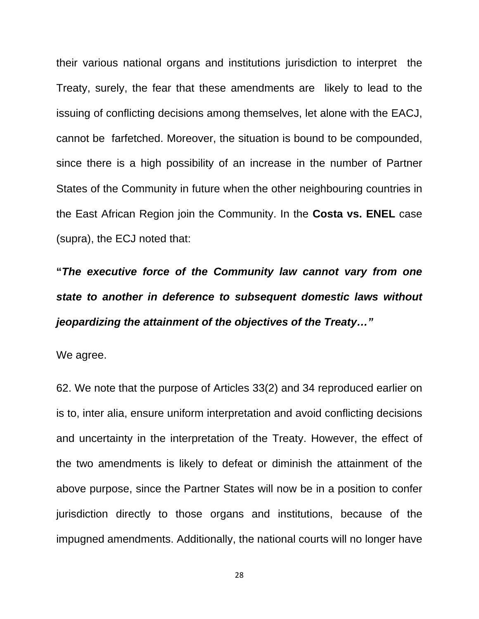their various national organs and institutions jurisdiction to interpret the Treaty, surely, the fear that these amendments are likely to lead to the issuing of conflicting decisions among themselves, let alone with the EACJ, cannot be farfetched. Moreover, the situation is bound to be compounded, since there is a high possibility of an increase in the number of Partner States of the Community in future when the other neighbouring countries in the East African Region join the Community. In the **Costa vs. ENEL** case (supra), the ECJ noted that:

**"***The executive force of the Community law cannot vary from one state to another in deference to subsequent domestic laws without jeopardizing the attainment of the objectives of the Treaty…"* 

We agree.

62. We note that the purpose of Articles 33(2) and 34 reproduced earlier on is to, inter alia, ensure uniform interpretation and avoid conflicting decisions and uncertainty in the interpretation of the Treaty. However, the effect of the two amendments is likely to defeat or diminish the attainment of the above purpose, since the Partner States will now be in a position to confer jurisdiction directly to those organs and institutions, because of the impugned amendments. Additionally, the national courts will no longer have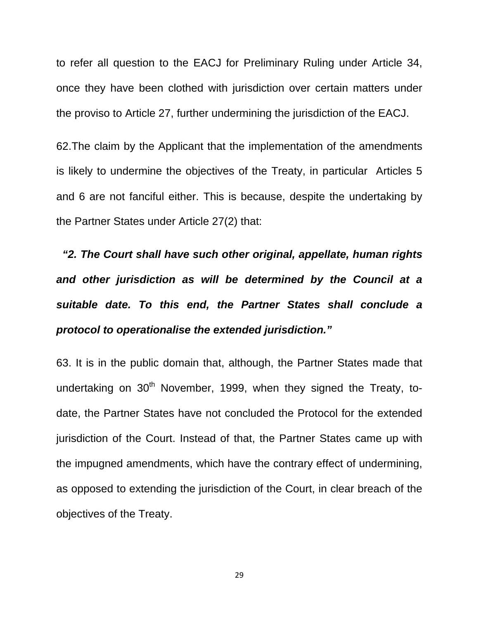to refer all question to the EACJ for Preliminary Ruling under Article 34, once they have been clothed with jurisdiction over certain matters under the proviso to Article 27, further undermining the jurisdiction of the EACJ.

62.The claim by the Applicant that the implementation of the amendments is likely to undermine the objectives of the Treaty, in particular Articles 5 and 6 are not fanciful either. This is because, despite the undertaking by the Partner States under Article 27(2) that:

 *"2. The Court shall have such other original, appellate, human rights and other jurisdiction as will be determined by the Council at a suitable date. To this end, the Partner States shall conclude a protocol to operationalise the extended jurisdiction."* 

63. It is in the public domain that, although, the Partner States made that undertaking on  $30<sup>th</sup>$  November, 1999, when they signed the Treaty, todate, the Partner States have not concluded the Protocol for the extended jurisdiction of the Court. Instead of that, the Partner States came up with the impugned amendments, which have the contrary effect of undermining, as opposed to extending the jurisdiction of the Court, in clear breach of the objectives of the Treaty.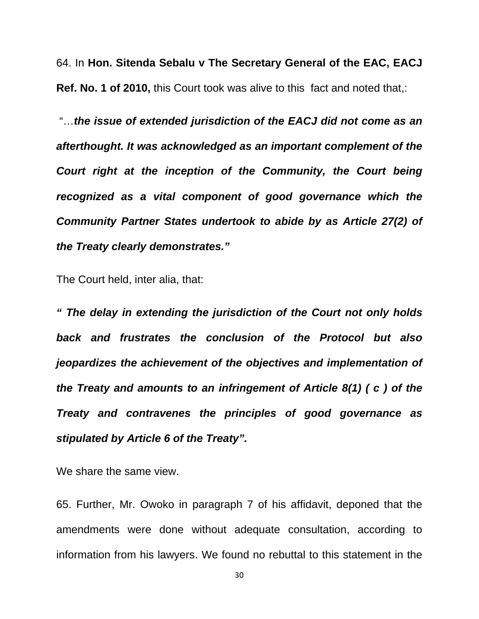64. In **Hon. Sitenda Sebalu v The Secretary General of the EAC, EACJ Ref. No. 1 of 2010,** this Court took was alive to this fact and noted that,:

 "…*the issue of extended jurisdiction of the EACJ did not come as an afterthought. It was acknowledged as an important complement of the Court right at the inception of the Community, the Court being recognized as a vital component of good governance which the Community Partner States undertook to abide by as Article 27(2) of the Treaty clearly demonstrates."* 

The Court held, inter alia, that:

*" The delay in extending the jurisdiction of the Court not only holds back and frustrates the conclusion of the Protocol but also jeopardizes the achievement of the objectives and implementation of the Treaty and amounts to an infringement of Article 8(1) ( c ) of the Treaty and contravenes the principles of good governance as stipulated by Article 6 of the Treaty".* 

We share the same view.

65. Further, Mr. Owoko in paragraph 7 of his affidavit, deponed that the amendments were done without adequate consultation, according to information from his lawyers. We found no rebuttal to this statement in the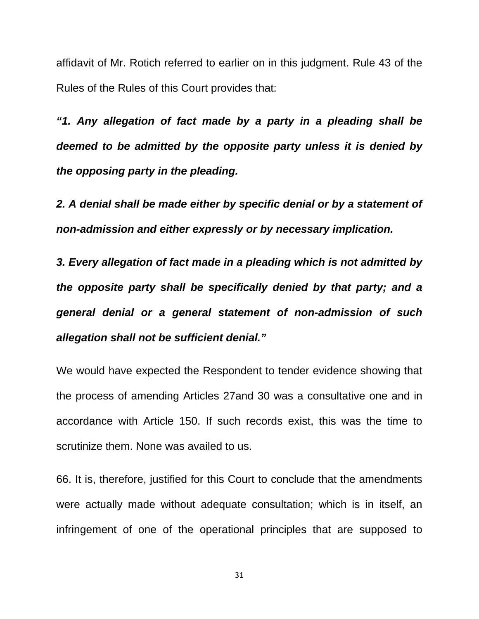affidavit of Mr. Rotich referred to earlier on in this judgment. Rule 43 of the Rules of the Rules of this Court provides that:

*"1. Any allegation of fact made by a party in a pleading shall be deemed to be admitted by the opposite party unless it is denied by the opposing party in the pleading.* 

*2. A denial shall be made either by specific denial or by a statement of non-admission and either expressly or by necessary implication.* 

*3. Every allegation of fact made in a pleading which is not admitted by the opposite party shall be specifically denied by that party; and a general denial or a general statement of non-admission of such allegation shall not be sufficient denial."* 

We would have expected the Respondent to tender evidence showing that the process of amending Articles 27and 30 was a consultative one and in accordance with Article 150. If such records exist, this was the time to scrutinize them. None was availed to us.

66. It is, therefore, justified for this Court to conclude that the amendments were actually made without adequate consultation; which is in itself, an infringement of one of the operational principles that are supposed to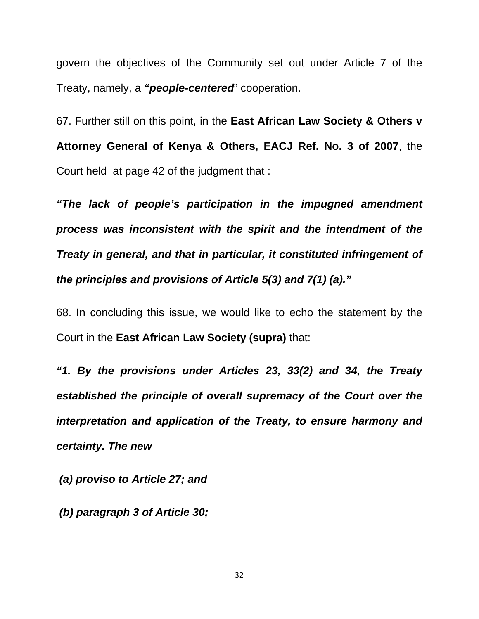govern the objectives of the Community set out under Article 7 of the Treaty, namely, a *"people-centered*" cooperation.

67. Further still on this point, in the **East African Law Society & Others v Attorney General of Kenya & Others, EACJ Ref. No. 3 of 2007**, the Court held at page 42 of the judgment that :

*"The lack of people's participation in the impugned amendment process was inconsistent with the spirit and the intendment of the Treaty in general, and that in particular, it constituted infringement of the principles and provisions of Article 5(3) and 7(1) (a)."* 

68. In concluding this issue, we would like to echo the statement by the Court in the **East African Law Society (supra)** that:

*"1. By the provisions under Articles 23, 33(2) and 34, the Treaty established the principle of overall supremacy of the Court over the interpretation and application of the Treaty, to ensure harmony and certainty. The new* 

 *(a) proviso to Article 27; and* 

 *(b) paragraph 3 of Article 30;*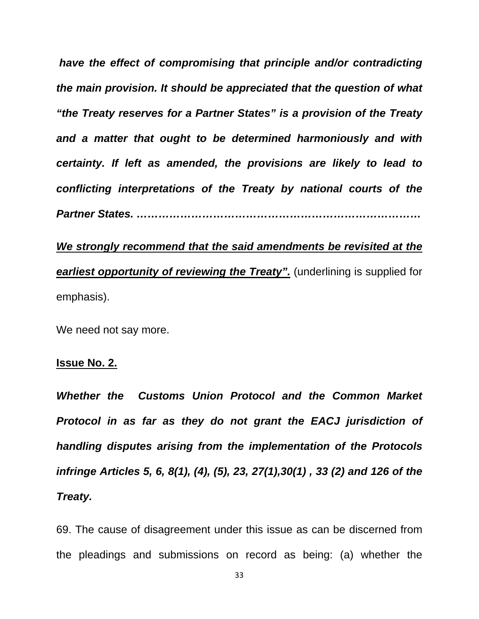*have the effect of compromising that principle and/or contradicting the main provision. It should be appreciated that the question of what "the Treaty reserves for a Partner States" is a provision of the Treaty and a matter that ought to be determined harmoniously and with certainty. If left as amended, the provisions are likely to lead to conflicting interpretations of the Treaty by national courts of the Partner States. ……………………………………………………………………* 

*We strongly recommend that the said amendments be revisited at the earliest opportunity of reviewing the Treaty".* (underlining is supplied for emphasis).

We need not say more.

#### **Issue No. 2.**

*Whether the Customs Union Protocol and the Common Market Protocol in as far as they do not grant the EACJ jurisdiction of handling disputes arising from the implementation of the Protocols infringe Articles 5, 6, 8(1), (4), (5), 23, 27(1),30(1) , 33 (2) and 126 of the Treaty.* 

69. The cause of disagreement under this issue as can be discerned from the pleadings and submissions on record as being: (a) whether the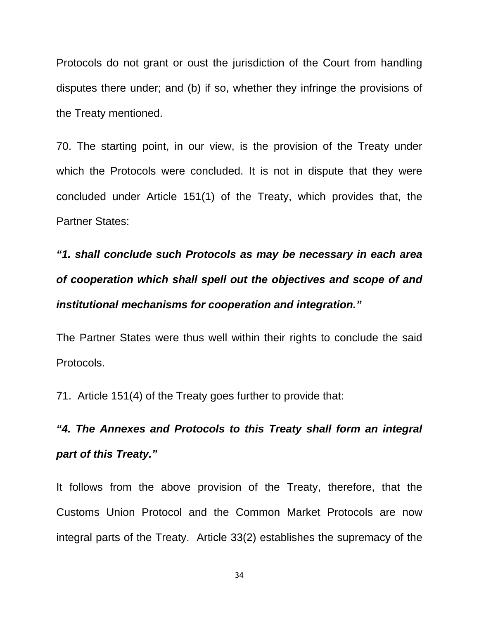Protocols do not grant or oust the jurisdiction of the Court from handling disputes there under; and (b) if so, whether they infringe the provisions of the Treaty mentioned.

70. The starting point, in our view, is the provision of the Treaty under which the Protocols were concluded. It is not in dispute that they were concluded under Article 151(1) of the Treaty, which provides that, the Partner States:

*"1. shall conclude such Protocols as may be necessary in each area of cooperation which shall spell out the objectives and scope of and institutional mechanisms for cooperation and integration."* 

The Partner States were thus well within their rights to conclude the said Protocols.

71. Article 151(4) of the Treaty goes further to provide that:

# *"4. The Annexes and Protocols to this Treaty shall form an integral part of this Treaty."*

It follows from the above provision of the Treaty, therefore, that the Customs Union Protocol and the Common Market Protocols are now integral parts of the Treaty. Article 33(2) establishes the supremacy of the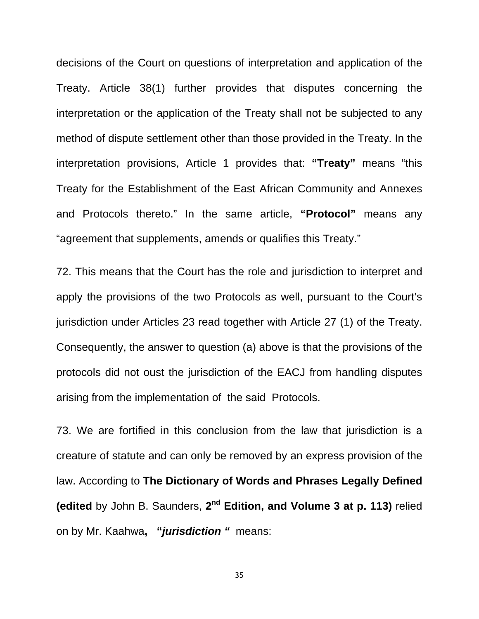decisions of the Court on questions of interpretation and application of the Treaty. Article 38(1) further provides that disputes concerning the interpretation or the application of the Treaty shall not be subjected to any method of dispute settlement other than those provided in the Treaty. In the interpretation provisions, Article 1 provides that: **"Treaty"** means "this Treaty for the Establishment of the East African Community and Annexes and Protocols thereto." In the same article, **"Protocol"** means any "agreement that supplements, amends or qualifies this Treaty."

72. This means that the Court has the role and jurisdiction to interpret and apply the provisions of the two Protocols as well, pursuant to the Court's jurisdiction under Articles 23 read together with Article 27 (1) of the Treaty. Consequently, the answer to question (a) above is that the provisions of the protocols did not oust the jurisdiction of the EACJ from handling disputes arising from the implementation of the said Protocols.

73. We are fortified in this conclusion from the law that jurisdiction is a creature of statute and can only be removed by an express provision of the law. According to **The Dictionary of Words and Phrases Legally Defined (edited** by John B. Saunders, **2nd Edition, and Volume 3 at p. 113)** relied on by Mr. Kaahwa**, "***jurisdiction "* means: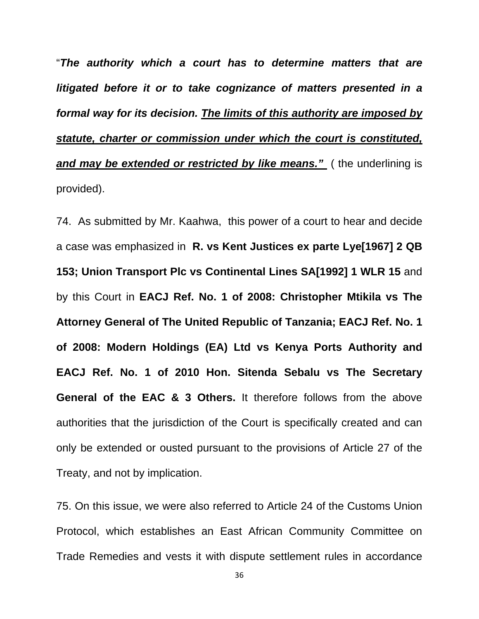"*The authority which a court has to determine matters that are litigated before it or to take cognizance of matters presented in a formal way for its decision. The limits of this authority are imposed by statute, charter or commission under which the court is constituted, and may be extended or restricted by like means."* ( the underlining is provided).

74. As submitted by Mr. Kaahwa, this power of a court to hear and decide a case was emphasized in **R. vs Kent Justices ex parte Lye[1967] 2 QB 153; Union Transport Plc vs Continental Lines SA[1992] 1 WLR 15** and by this Court in **EACJ Ref. No. 1 of 2008: Christopher Mtikila vs The Attorney General of The United Republic of Tanzania; EACJ Ref. No. 1 of 2008: Modern Holdings (EA) Ltd vs Kenya Ports Authority and EACJ Ref. No. 1 of 2010 Hon. Sitenda Sebalu vs The Secretary General of the EAC & 3 Others.** It therefore follows from the above authorities that the jurisdiction of the Court is specifically created and can only be extended or ousted pursuant to the provisions of Article 27 of the Treaty, and not by implication.

75. On this issue, we were also referred to Article 24 of the Customs Union Protocol, which establishes an East African Community Committee on Trade Remedies and vests it with dispute settlement rules in accordance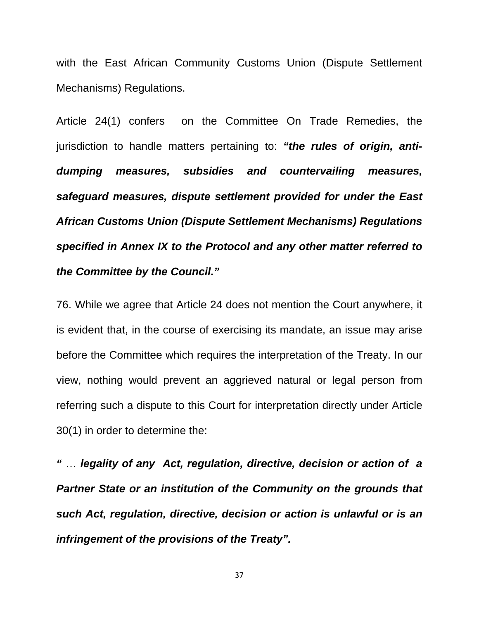with the East African Community Customs Union (Dispute Settlement Mechanisms) Regulations.

Article 24(1) confers on the Committee On Trade Remedies, the jurisdiction to handle matters pertaining to: *"the rules of origin, antidumping measures, subsidies and countervailing measures, safeguard measures, dispute settlement provided for under the East African Customs Union (Dispute Settlement Mechanisms) Regulations specified in Annex IX to the Protocol and any other matter referred to the Committee by the Council."* 

76. While we agree that Article 24 does not mention the Court anywhere, it is evident that, in the course of exercising its mandate, an issue may arise before the Committee which requires the interpretation of the Treaty. In our view, nothing would prevent an aggrieved natural or legal person from referring such a dispute to this Court for interpretation directly under Article 30(1) in order to determine the:

*"* … *legality of any Act, regulation, directive, decision or action of a Partner State or an institution of the Community on the grounds that such Act, regulation, directive, decision or action is unlawful or is an infringement of the provisions of the Treaty".*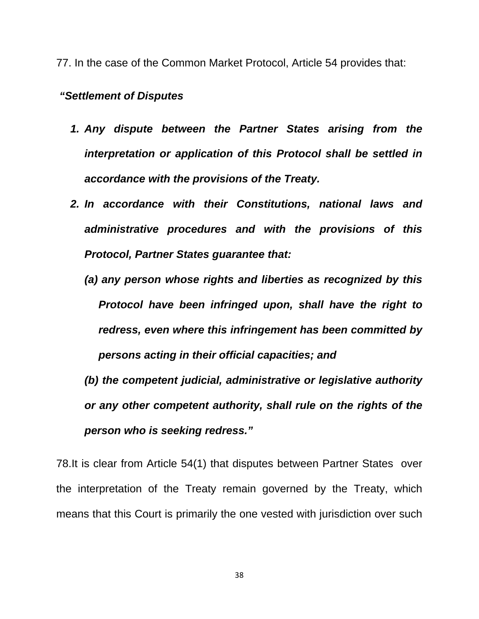77. In the case of the Common Market Protocol, Article 54 provides that:

#### *"Settlement of Disputes*

- *1. Any dispute between the Partner States arising from the interpretation or application of this Protocol shall be settled in accordance with the provisions of the Treaty.*
- *2. In accordance with their Constitutions, national laws and administrative procedures and with the provisions of this Protocol, Partner States guarantee that:* 
	- *(a) any person whose rights and liberties as recognized by this Protocol have been infringed upon, shall have the right to redress, even where this infringement has been committed by persons acting in their official capacities; and*

*(b) the competent judicial, administrative or legislative authority or any other competent authority, shall rule on the rights of the person who is seeking redress."* 

78.It is clear from Article 54(1) that disputes between Partner States over the interpretation of the Treaty remain governed by the Treaty, which means that this Court is primarily the one vested with jurisdiction over such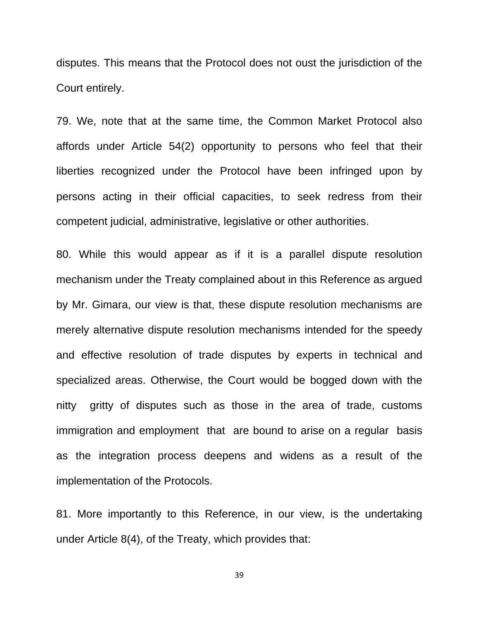disputes. This means that the Protocol does not oust the jurisdiction of the Court entirely.

79. We, note that at the same time, the Common Market Protocol also affords under Article 54(2) opportunity to persons who feel that their liberties recognized under the Protocol have been infringed upon by persons acting in their official capacities, to seek redress from their competent judicial, administrative, legislative or other authorities.

80. While this would appear as if it is a parallel dispute resolution mechanism under the Treaty complained about in this Reference as argued by Mr. Gimara, our view is that, these dispute resolution mechanisms are merely alternative dispute resolution mechanisms intended for the speedy and effective resolution of trade disputes by experts in technical and specialized areas. Otherwise, the Court would be bogged down with the nitty gritty of disputes such as those in the area of trade, customs immigration and employment that are bound to arise on a regular basis as the integration process deepens and widens as a result of the implementation of the Protocols.

81. More importantly to this Reference, in our view, is the undertaking under Article 8(4), of the Treaty, which provides that: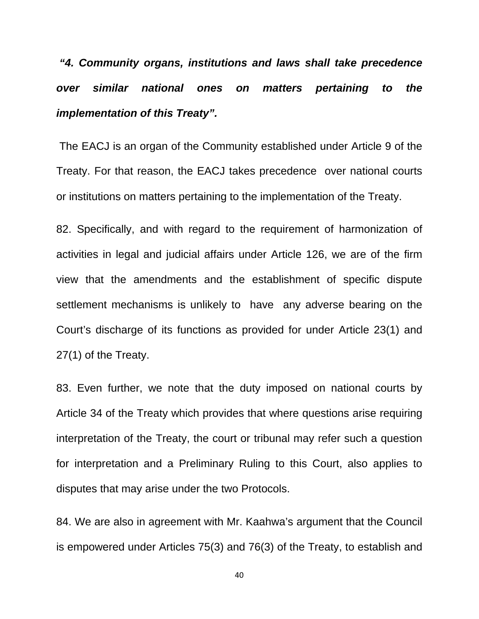*"4. Community organs, institutions and laws shall take precedence over similar national ones on matters pertaining to the implementation of this Treaty".* 

 The EACJ is an organ of the Community established under Article 9 of the Treaty. For that reason, the EACJ takes precedence over national courts or institutions on matters pertaining to the implementation of the Treaty.

82. Specifically, and with regard to the requirement of harmonization of activities in legal and judicial affairs under Article 126, we are of the firm view that the amendments and the establishment of specific dispute settlement mechanisms is unlikely to have any adverse bearing on the Court's discharge of its functions as provided for under Article 23(1) and 27(1) of the Treaty.

83. Even further, we note that the duty imposed on national courts by Article 34 of the Treaty which provides that where questions arise requiring interpretation of the Treaty, the court or tribunal may refer such a question for interpretation and a Preliminary Ruling to this Court, also applies to disputes that may arise under the two Protocols.

84. We are also in agreement with Mr. Kaahwa's argument that the Council is empowered under Articles 75(3) and 76(3) of the Treaty, to establish and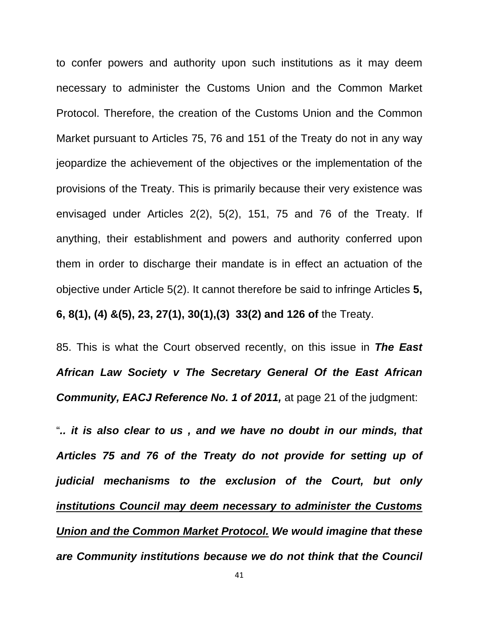to confer powers and authority upon such institutions as it may deem necessary to administer the Customs Union and the Common Market Protocol. Therefore, the creation of the Customs Union and the Common Market pursuant to Articles 75, 76 and 151 of the Treaty do not in any way jeopardize the achievement of the objectives or the implementation of the provisions of the Treaty. This is primarily because their very existence was envisaged under Articles 2(2), 5(2), 151, 75 and 76 of the Treaty. If anything, their establishment and powers and authority conferred upon them in order to discharge their mandate is in effect an actuation of the objective under Article 5(2). It cannot therefore be said to infringe Articles **5, 6, 8(1), (4) &(5), 23, 27(1), 30(1),(3) 33(2) and 126 of** the Treaty.

85. This is what the Court observed recently, on this issue in *The East African Law Society v The Secretary General Of the East African*  **Community, EACJ Reference No. 1 of 2011, at page 21 of the judgment:** 

"*.. it is also clear to us , and we have no doubt in our minds, that Articles 75 and 76 of the Treaty do not provide for setting up of judicial mechanisms to the exclusion of the Court, but only institutions Council may deem necessary to administer the Customs Union and the Common Market Protocol. We would imagine that these are Community institutions because we do not think that the Council*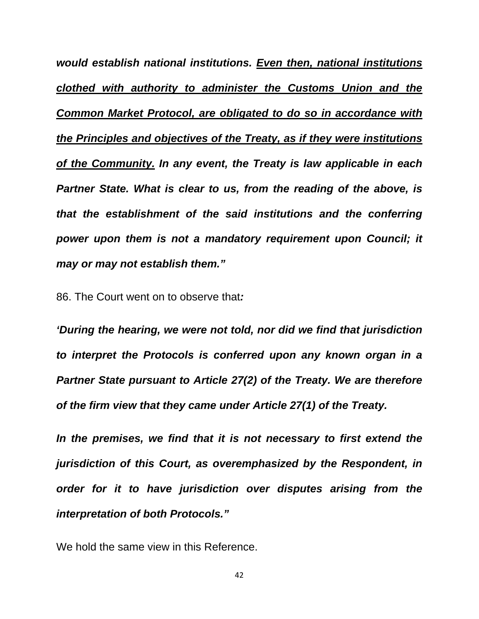*would establish national institutions. Even then, national institutions clothed with authority to administer the Customs Union and the Common Market Protocol, are obligated to do so in accordance with the Principles and objectives of the Treaty, as if they were institutions of the Community. In any event, the Treaty is law applicable in each Partner State. What is clear to us, from the reading of the above, is that the establishment of the said institutions and the conferring power upon them is not a mandatory requirement upon Council; it may or may not establish them."* 

86. The Court went on to observe that*:* 

*'During the hearing, we were not told, nor did we find that jurisdiction to interpret the Protocols is conferred upon any known organ in a Partner State pursuant to Article 27(2) of the Treaty. We are therefore of the firm view that they came under Article 27(1) of the Treaty.* 

*In the premises, we find that it is not necessary to first extend the jurisdiction of this Court, as overemphasized by the Respondent, in order for it to have jurisdiction over disputes arising from the interpretation of both Protocols."*

We hold the same view in this Reference.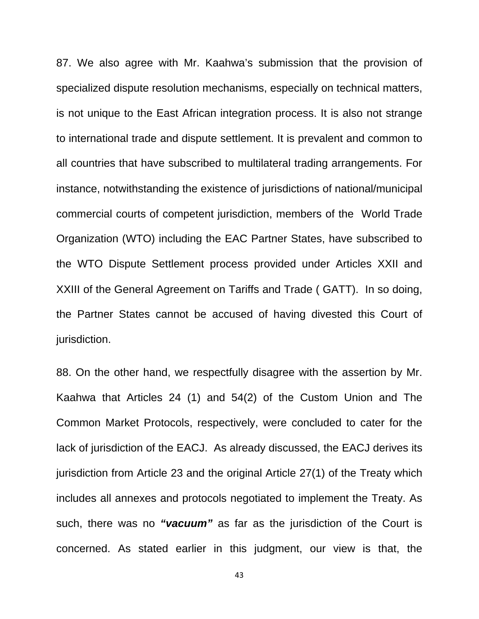87. We also agree with Mr. Kaahwa's submission that the provision of specialized dispute resolution mechanisms, especially on technical matters, is not unique to the East African integration process. It is also not strange to international trade and dispute settlement. It is prevalent and common to all countries that have subscribed to multilateral trading arrangements. For instance, notwithstanding the existence of jurisdictions of national/municipal commercial courts of competent jurisdiction, members of the World Trade Organization (WTO) including the EAC Partner States, have subscribed to the WTO Dispute Settlement process provided under Articles XXII and XXIII of the General Agreement on Tariffs and Trade ( GATT). In so doing, the Partner States cannot be accused of having divested this Court of jurisdiction.

88. On the other hand, we respectfully disagree with the assertion by Mr. Kaahwa that Articles 24 (1) and 54(2) of the Custom Union and The Common Market Protocols, respectively, were concluded to cater for the lack of jurisdiction of the EACJ. As already discussed, the EACJ derives its jurisdiction from Article 23 and the original Article 27(1) of the Treaty which includes all annexes and protocols negotiated to implement the Treaty. As such, there was no *"vacuum"* as far as the jurisdiction of the Court is concerned. As stated earlier in this judgment, our view is that, the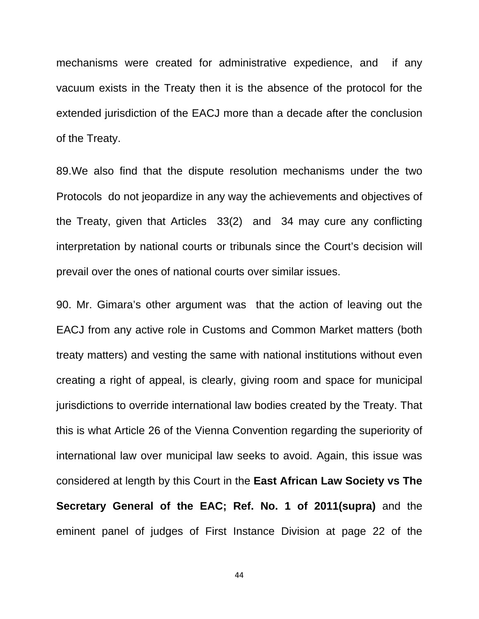mechanisms were created for administrative expedience, and if any vacuum exists in the Treaty then it is the absence of the protocol for the extended jurisdiction of the EACJ more than a decade after the conclusion of the Treaty.

89.We also find that the dispute resolution mechanisms under the two Protocols do not jeopardize in any way the achievements and objectives of the Treaty, given that Articles 33(2) and 34 may cure any conflicting interpretation by national courts or tribunals since the Court's decision will prevail over the ones of national courts over similar issues.

90. Mr. Gimara's other argument was that the action of leaving out the EACJ from any active role in Customs and Common Market matters (both treaty matters) and vesting the same with national institutions without even creating a right of appeal, is clearly, giving room and space for municipal jurisdictions to override international law bodies created by the Treaty. That this is what Article 26 of the Vienna Convention regarding the superiority of international law over municipal law seeks to avoid. Again, this issue was considered at length by this Court in the **East African Law Society vs The Secretary General of the EAC; Ref. No. 1 of 2011(supra)** and the eminent panel of judges of First Instance Division at page 22 of the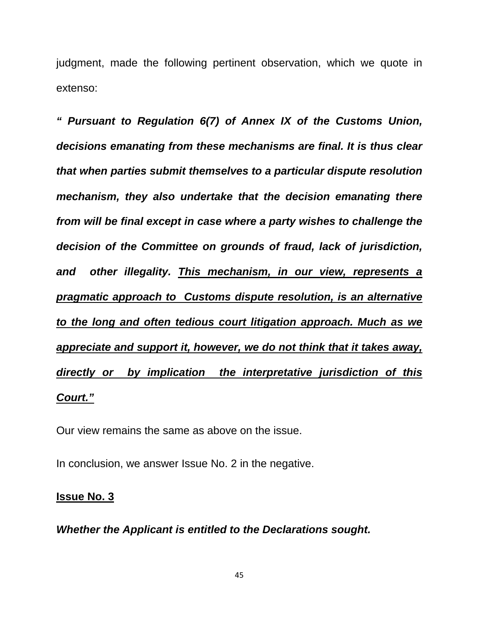judgment, made the following pertinent observation, which we quote in extenso:

*" Pursuant to Regulation 6(7) of Annex IX of the Customs Union, decisions emanating from these mechanisms are final. It is thus clear that when parties submit themselves to a particular dispute resolution mechanism, they also undertake that the decision emanating there from will be final except in case where a party wishes to challenge the decision of the Committee on grounds of fraud, lack of jurisdiction, and other illegality. This mechanism, in our view, represents a pragmatic approach to Customs dispute resolution, is an alternative to the long and often tedious court litigation approach. Much as we appreciate and support it, however, we do not think that it takes away, directly or by implication the interpretative jurisdiction of this Court."* 

Our view remains the same as above on the issue.

In conclusion, we answer Issue No. 2 in the negative.

#### **Issue No. 3**

*Whether the Applicant is entitled to the Declarations sought.*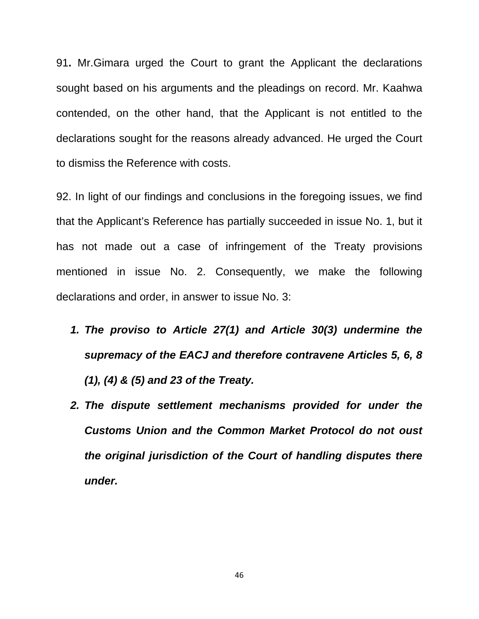91**.** Mr.Gimara urged the Court to grant the Applicant the declarations sought based on his arguments and the pleadings on record. Mr. Kaahwa contended, on the other hand, that the Applicant is not entitled to the declarations sought for the reasons already advanced. He urged the Court to dismiss the Reference with costs.

92. In light of our findings and conclusions in the foregoing issues, we find that the Applicant's Reference has partially succeeded in issue No. 1, but it has not made out a case of infringement of the Treaty provisions mentioned in issue No. 2. Consequently, we make the following declarations and order, in answer to issue No. 3:

- *1. The proviso to Article 27(1) and Article 30(3) undermine the supremacy of the EACJ and therefore contravene Articles 5, 6, 8 (1), (4) & (5) and 23 of the Treaty.*
- *2. The dispute settlement mechanisms provided for under the Customs Union and the Common Market Protocol do not oust the original jurisdiction of the Court of handling disputes there under.*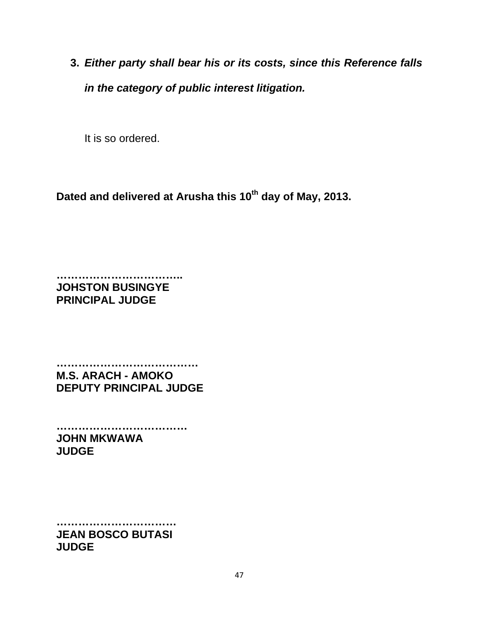**3.** *Either party shall bear his or its costs, since this Reference falls in the category of public interest litigation.*

It is so ordered.

Dated and delivered at Arusha this 10<sup>th</sup> day of May, 2013.

**…………………………….. JOHSTON BUSINGYE PRINCIPAL JUDGE** 

**………………………………… M.S. ARACH - AMOKO DEPUTY PRINCIPAL JUDGE** 

**……………………………… JOHN MKWAWA JUDGE** 

**…………………………… JEAN BOSCO BUTASI JUDGE**